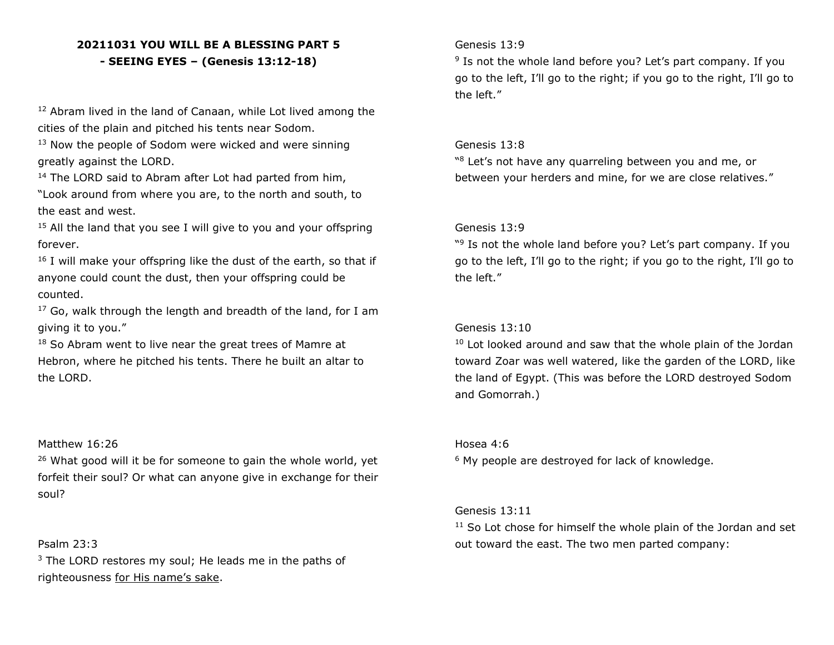# **20211031 YOU WILL BE A BLESSING PART 5 - SEEING EYES – (Genesis 13:12-18)**

<sup>12</sup> Abram lived in the land of Canaan, while Lot lived among the cities of the plain and pitched his tents near Sodom.

<sup>13</sup> Now the people of Sodom were wicked and were sinning greatly against the LORD.

<sup>14</sup> The LORD said to Abram after Lot had parted from him,

"Look around from where you are, to the north and south, to the east and west.

 $15$  All the land that you see I will give to you and your offspring forever.

 $16$  I will make your offspring like the dust of the earth, so that if anyone could count the dust, then your offspring could be counted.

 $17$  Go, walk through the length and breadth of the land, for I am giving it to you."

<sup>18</sup> So Abram went to live near the great trees of Mamre at Hebron, where he pitched his tents. There he built an altar to the LORD.

#### Matthew 16:26

 $26$  What good will it be for someone to gain the whole world, yet forfeit their soul? Or what can anyone give in exchange for their soul?

## Psalm 23:3

 $3$  The LORD restores my soul; He leads me in the paths of righteousness for His name's sake.

## Genesis 13:9

<sup>9</sup> Is not the whole land before you? Let's part company. If you go to the left, I'll go to the right; if you go to the right, I'll go to the left."

#### Genesis 13:8

"<sup>8</sup> Let's not have any quarreling between you and me, or between your herders and mine, for we are close relatives."

#### Genesis 13:9

"<sup>9</sup> Is not the whole land before you? Let's part company. If you go to the left, I'll go to the right; if you go to the right, I'll go to the left."

## Genesis 13:10

<sup>10</sup> Lot looked around and saw that the whole plain of the Jordan toward Zoar was well watered, like the garden of the LORD, like the land of Egypt. (This was before the LORD destroyed Sodom and Gomorrah.)

#### Hosea 4:6

<sup>6</sup> My people are destroyed for lack of knowledge.

### Genesis 13:11

<sup>11</sup> So Lot chose for himself the whole plain of the Jordan and set out toward the east. The two men parted company: